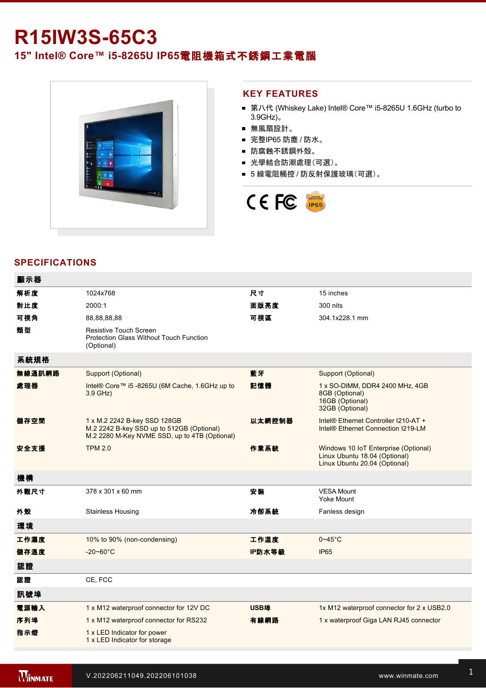# **R15IW3S-65C3**

**15" Intel® Core™ i5-8265U IP65電阻機箱式不銹鋼工業電腦** 



### **KEY FEATURES**

- 第八代 (Whiskey Lake) Intel® Core™ i5-8265U 1.6GHz (turbo to 3.9GHz)。
- 無風扇設計。
- 完整IP65 防塵 / 防水。
- 防腐蝕不銹鋼外殼。
- 光學結合防潮處理(可選)。
- 5 線電阻觸控 / 防反射保護玻璃(可選)。



# **SPECIFICATIONS**

| 顯示器    |                                                                                                                            |             |                                                                                                        |
|--------|----------------------------------------------------------------------------------------------------------------------------|-------------|--------------------------------------------------------------------------------------------------------|
| 解析度    | 1024x768                                                                                                                   | 尺寸          | 15 inches                                                                                              |
| 對比度    | 2000:1                                                                                                                     | 面版亮度        | 300 nits                                                                                               |
| 可視角    | 88,88,88,88                                                                                                                | 可視區         | 304.1x228.1 mm                                                                                         |
| 類型     | Resistive Touch Screen<br><b>Protection Glass Without Touch Function</b><br>(Optional)                                     |             |                                                                                                        |
| 系統規格   |                                                                                                                            |             |                                                                                                        |
| 無線通訊網路 | Support (Optional)                                                                                                         | 藍牙          | Support (Optional)                                                                                     |
| 處理器    | Intel® Core™ i5 -8265U (6M Cache, 1.6GHz up to<br>$3.9$ GHz)                                                               | 記憶體         | 1 x SO-DIMM, DDR4 2400 MHz, 4GB<br>8GB (Optional)<br>16GB (Optional)<br>32GB (Optional)                |
| 儲存空間   | 1 x M.2 2242 B-key SSD 128GB<br>M.2 2242 B-key SSD up to 512GB (Optional)<br>M.2 2280 M-Key NVME SSD, up to 4TB (Optional) | 以太網控制器      | Intel® Ethernet Controller I210-AT +<br>Intel <sup>®</sup> Ethernet Connection I219-LM                 |
| 安全支援   | <b>TPM 2.0</b>                                                                                                             | 作業系統        | Windows 10 IoT Enterprise (Optional)<br>Linux Ubuntu 18.04 (Optional)<br>Linux Ubuntu 20.04 (Optional) |
| 機構     |                                                                                                                            |             |                                                                                                        |
| 外觀尺寸   | 378 x 301 x 60 mm                                                                                                          | 安装          | <b>VESA Mount</b><br><b>Yoke Mount</b>                                                                 |
| 外殼     | <b>Stainless Housing</b>                                                                                                   | 冷卻系統        | Fanless design                                                                                         |
| 環境     |                                                                                                                            |             |                                                                                                        |
| 工作濕度   | 10% to 90% (non-condensing)                                                                                                | 工作溫度        | $0 - 45$ °C                                                                                            |
| 儲存溫度   | $-20 - 60^{\circ}$ C                                                                                                       | IP防水等級      | IP <sub>65</sub>                                                                                       |
| 認證     |                                                                                                                            |             |                                                                                                        |
| 認證     | CE, FCC                                                                                                                    |             |                                                                                                        |
| 訊號埠    |                                                                                                                            |             |                                                                                                        |
| 電源輸入   | 1 x M12 waterproof connector for 12V DC                                                                                    | <b>USB埠</b> | 1x M12 waterproof connector for 2 x USB2.0                                                             |
| 序列埠    | 1 x M12 waterproof connector for RS232                                                                                     | 有線網路        | 1 x waterproof Giga LAN RJ45 connector                                                                 |
| 指示燈    | 1 x LED Indicator for power<br>1 x LED Indicator for storage                                                               |             |                                                                                                        |
|        |                                                                                                                            |             |                                                                                                        |

配件